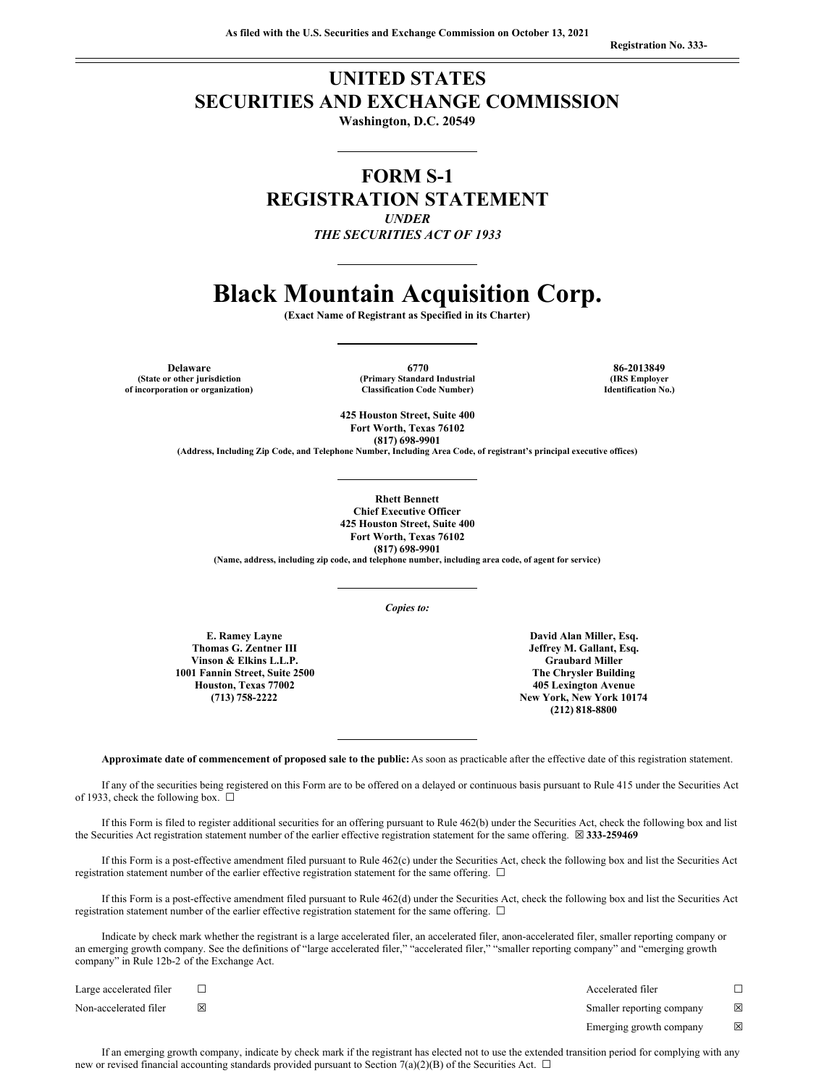**Registration No. 333-**

# **UNITED STATES SECURITIES AND EXCHANGE COMMISSION**

**Washington, D.C. 20549**

**FORM S-1 REGISTRATION STATEMENT** *UNDER*

*THE SECURITIES ACT OF 1933*

# **Black Mountain Acquisition Corp.**

**(Exact Name of Registrant as Specified in its Charter)**

**(State or other jurisdiction of incorporation or organization)**

**Delaware 6770 86-2013849 (Primary Standard Industrial Classification Code Number)**

**(IRS Employer Identification No.)**

**425 Houston Street, Suite 400 Fort Worth, Texas 76102 (817) 698-9901**

**(Address, Including Zip Code, and Telephone Number, Including Area Code, of registrant's principal executive offices)**

**Rhett Bennett Chief Executive Officer 425 Houston Street, Suite 400 Fort Worth, Texas 76102 (817) 698-9901 (Name, address, including zip code, and telephone number, including area code, of agent for service)**

*Copies to:*

**E. Ramey Layne Thomas G. Zentner III Vinson & Elkins L.L.P. 1001 Fannin Street, Suite 2500 Houston, Texas 77002 (713) 758-2222**

**David Alan Miller, Esq. Jeffrey M. Gallant, Esq. Graubard Miller The Chrysler Building 405 Lexington Avenue New York, New York 10174 (212) 818-8800**

**Approximate date of commencement of proposed sale to the public:** As soon as practicable after the effective date of this registration statement.

If any of the securities being registered on this Form are to be offered on a delayed or continuous basis pursuant to Rule 415 under the Securities Act of 1933, check the following box.  $\Box$ 

If this Form is filed to register additional securities for an offering pursuant to Rule 462(b) under the Securities Act, check the following box and list the Securities Act registration statement number of the earlier effective registration statement for the same offering. ☒ **333-259469**

If this Form is a post-effective amendment filed pursuant to Rule 462(c) under the Securities Act, check the following box and list the Securities Act registration statement number of the earlier effective registration statement for the same offering.  $\Box$ 

If this Form is a post-effective amendment filed pursuant to Rule 462(d) under the Securities Act, check the following box and list the Securities Act registration statement number of the earlier effective registration statement for the same offering.  $\Box$ 

Indicate by check mark whether the registrant is a large accelerated filer, an accelerated filer, anon-accelerated filer, smaller reporting company or an emerging growth company. See the definitions of "large accelerated filer," "accelerated filer," "smaller reporting company" and "emerging growth company" in Rule 12b-2 of the Exchange Act.

| Large accelerated filer |   | Accelerated filer         |             |
|-------------------------|---|---------------------------|-------------|
| Non-accelerated filer   | ⊠ | Smaller reporting company | $\boxtimes$ |
|                         |   | Emerging growth company   | ⊠           |

If an emerging growth company, indicate by check mark if the registrant has elected not to use the extended transition period for complying with any new or revised financial accounting standards provided pursuant to Section 7(a)(2)(B) of the Securities Act.  $\Box$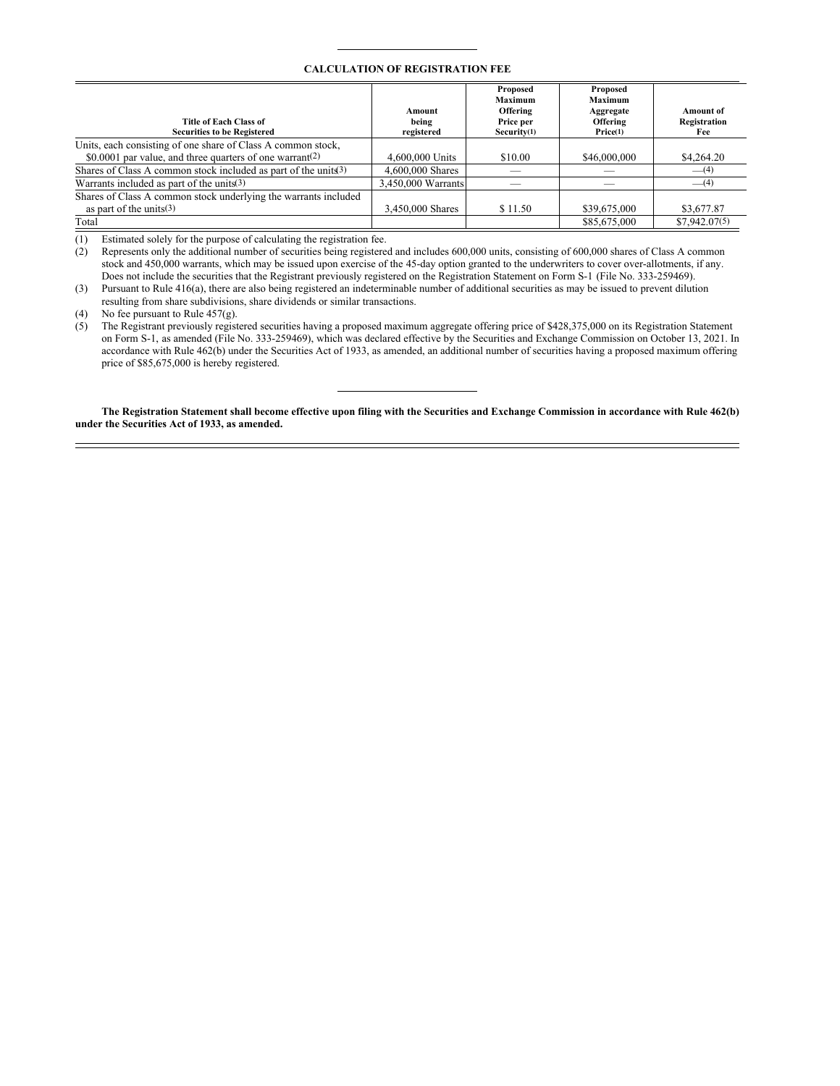#### **CALCULATION OF REGISTRATION FEE**

| Title of Each Class of<br><b>Securities to be Registered</b>     | Amount<br>being<br>registered | Proposed<br>Maximum<br>Offering<br>Price per<br>Security(1) | Proposed<br>Maximum<br>Aggregate<br>Offering<br>Price(1) | <b>Amount</b> of<br>Registration<br>Fee |
|------------------------------------------------------------------|-------------------------------|-------------------------------------------------------------|----------------------------------------------------------|-----------------------------------------|
| Units, each consisting of one share of Class A common stock,     |                               |                                                             |                                                          |                                         |
| \$0,0001 par value, and three quarters of one warrant(2)         | 4,600,000 Units               | \$10.00                                                     | \$46,000,000                                             | \$4,264.20                              |
| Shares of Class A common stock included as part of the units (3) | 4,600,000 Shares              |                                                             |                                                          | $-$ (4)                                 |
| Warrants included as part of the units $(3)$                     | 3.450,000 Warrants            |                                                             |                                                          | $-$ (4)                                 |
| Shares of Class A common stock underlying the warrants included  |                               |                                                             |                                                          |                                         |
| as part of the units $(3)$                                       | 3,450,000 Shares              | \$11.50                                                     | \$39,675,000                                             | \$3,677.87                              |
| Total                                                            |                               |                                                             | \$85,675,000                                             | \$7,942,07(5)                           |

(1) Estimated solely for the purpose of calculating the registration fee.

(2) Represents only the additional number of securities being registered and includes 600,000 units, consisting of 600,000 shares of Class A common stock and 450,000 warrants, which may be issued upon exercise of the 45-day option granted to the underwriters to cover over-allotments, if any. Does not include the securities that the Registrant previously registered on the Registration Statement on Form S-1 (File No. 333-259469).

(3) Pursuant to Rule 416(a), there are also being registered an indeterminable number of additional securities as may be issued to prevent dilution resulting from share subdivisions, share dividends or similar transactions.

(4) No fee pursuant to Rule 457(g).

(5) The Registrant previously registered securities having a proposed maximum aggregate offering price of \$428,375,000 on its Registration Statement on Form S-1, as amended (File No. 333-259469), which was declared effective by the Securities and Exchange Commission on October 13, 2021. In accordance with Rule 462(b) under the Securities Act of 1933, as amended, an additional number of securities having a proposed maximum offering price of \$85,675,000 is hereby registered.

The Registration Statement shall become effective upon filing with the Securities and Exchange Commission in accordance with Rule 462(b) **under the Securities Act of 1933, as amended.**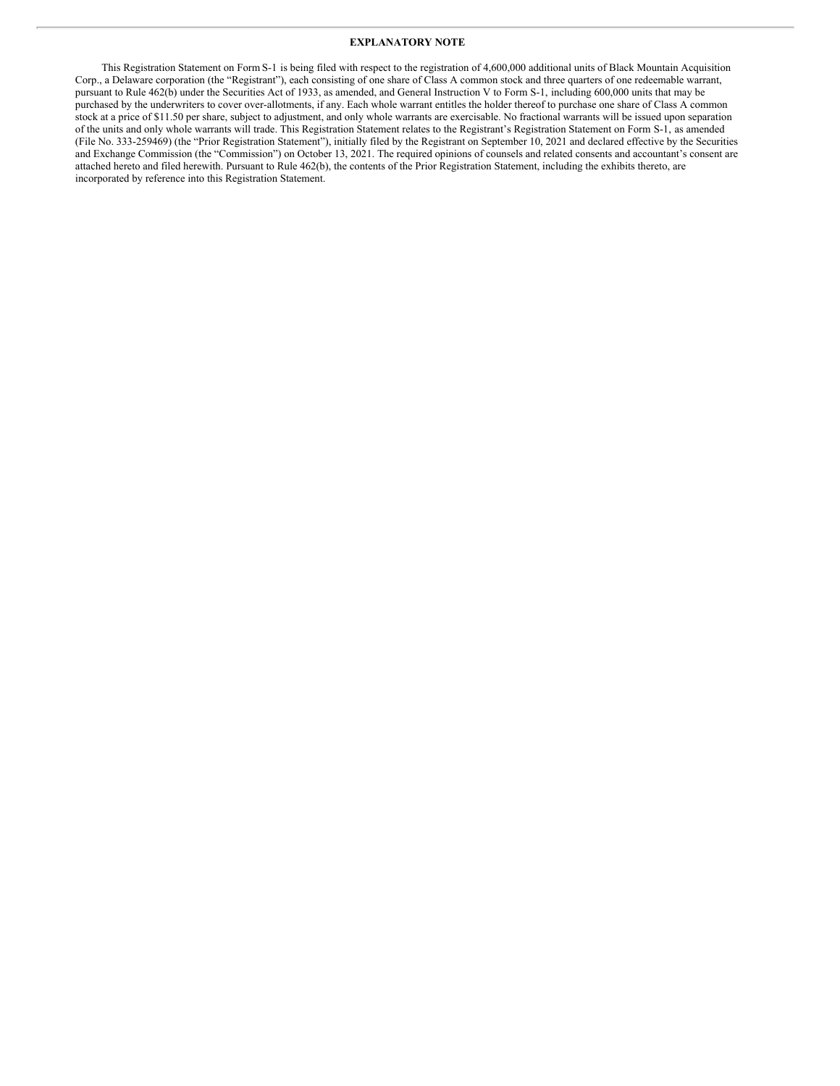#### **EXPLANATORY NOTE**

This Registration Statement on Form S-1 is being filed with respect to the registration of 4,600,000 additional units of Black Mountain Acquisition Corp., a Delaware corporation (the "Registrant"), each consisting of one share of Class A common stock and three quarters of one redeemable warrant, pursuant to Rule 462(b) under the Securities Act of 1933, as amended, and General Instruction V to Form S-1, including 600,000 units that may be purchased by the underwriters to cover over-allotments, if any. Each whole warrant entitles the holder thereof to purchase one share of Class A common stock at a price of \$11.50 per share, subject to adjustment, and only whole warrants are exercisable. No fractional warrants will be issued upon separation of the units and only whole warrants will trade. This Registration Statement relates to the Registrant's Registration Statement on Form S-1, as amended (File No. 333-259469) (the "Prior Registration Statement"), initially filed by the Registrant on September 10, 2021 and declared effective by the Securities and Exchange Commission (the "Commission") on October 13, 2021. The required opinions of counsels and related consents and accountant's consent are attached hereto and filed herewith. Pursuant to Rule 462(b), the contents of the Prior Registration Statement, including the exhibits thereto, are incorporated by reference into this Registration Statement.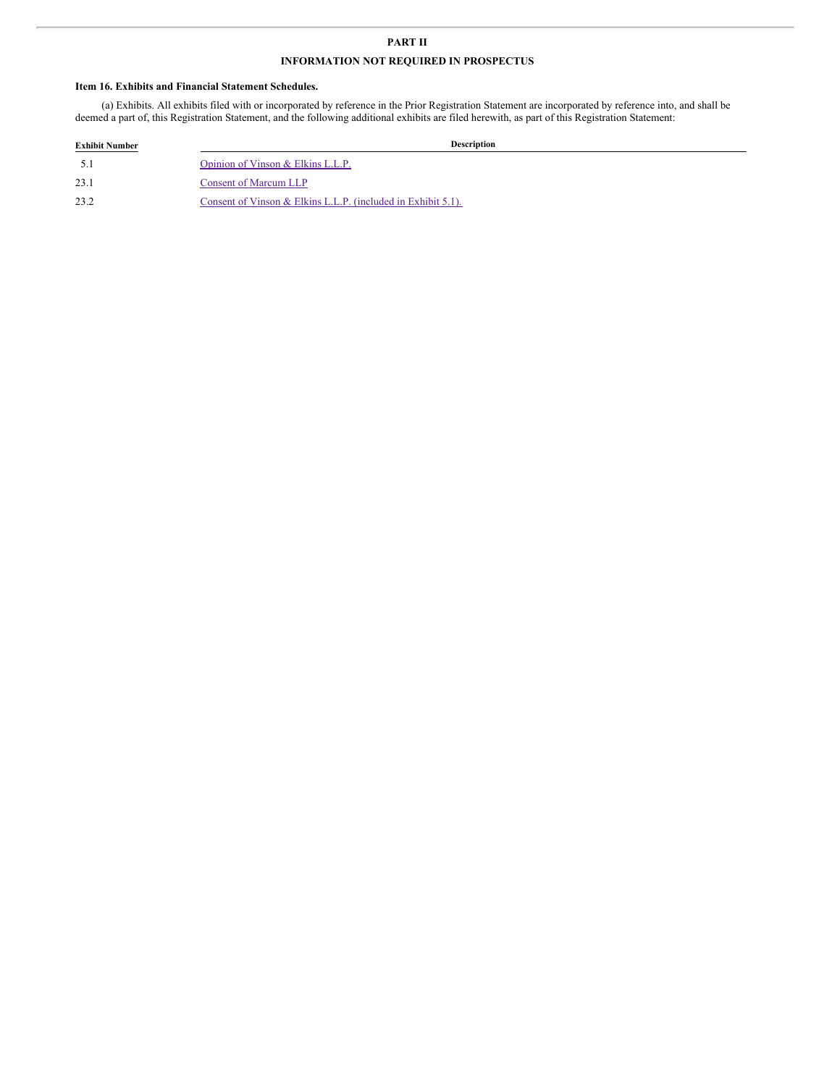### **PART II**

## **INFORMATION NOT REQUIRED IN PROSPECTUS**

#### **Item 16. Exhibits and Financial Statement Schedules.**

(a) Exhibits. All exhibits filed with or incorporated by reference in the Prior Registration Statement are incorporated by reference into, and shall be deemed a part of, this Registration Statement, and the following additional exhibits are filed herewith, as part of this Registration Statement:

| <b>Exhibit Number</b> | Description                                                  |  |
|-----------------------|--------------------------------------------------------------|--|
|                       | Opinion of Vinson & Elkins L.L.P.                            |  |
| 23.1                  | <b>Consent of Marcum LLP</b>                                 |  |
| 23.2                  | Consent of Vinson & Elkins L.L.P. (included in Exhibit 5.1). |  |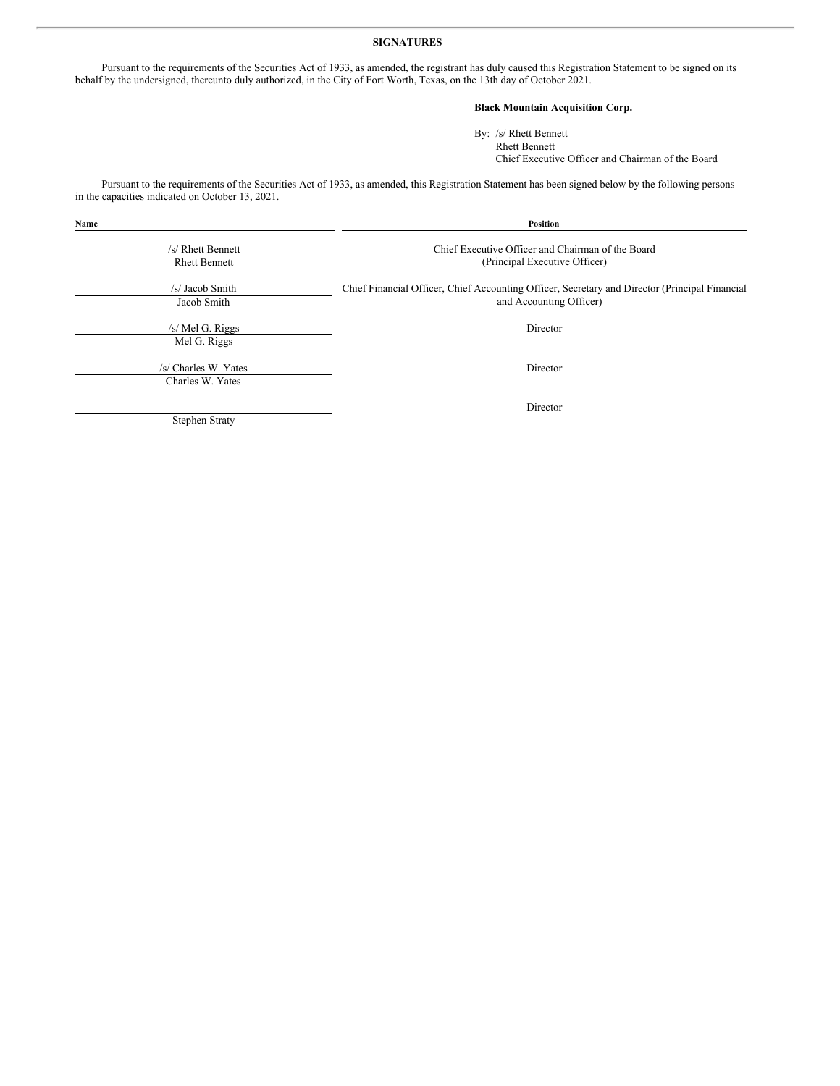#### **SIGNATURES**

Pursuant to the requirements of the Securities Act of 1933, as amended, the registrant has duly caused this Registration Statement to be signed on its behalf by the undersigned, thereunto duly authorized, in the City of Fort Worth, Texas, on the 13th day of October 2021.

#### **Black Mountain Acquisition Corp.**

By: /s/ Rhett Bennett Rhett Bennett

Chief Executive Officer and Chairman of the Board

Pursuant to the requirements of the Securities Act of 1933, as amended, this Registration Statement has been signed below by the following persons in the capacities indicated on October 13, 2021.

| Name                                      | Position                                                                                                                  |  |  |
|-------------------------------------------|---------------------------------------------------------------------------------------------------------------------------|--|--|
| /s/ Rhett Bennett<br><b>Rhett Bennett</b> | Chief Executive Officer and Chairman of the Board<br>(Principal Executive Officer)                                        |  |  |
| /s/ Jacob Smith<br>Jacob Smith            | Chief Financial Officer, Chief Accounting Officer, Secretary and Director (Principal Financial<br>and Accounting Officer) |  |  |
| /s/ Mel G. Riggs<br>Mel G. Riggs          | Director                                                                                                                  |  |  |
| /s/ Charles W. Yates<br>Charles W. Yates  | Director                                                                                                                  |  |  |
| Stephen Straty                            | Director                                                                                                                  |  |  |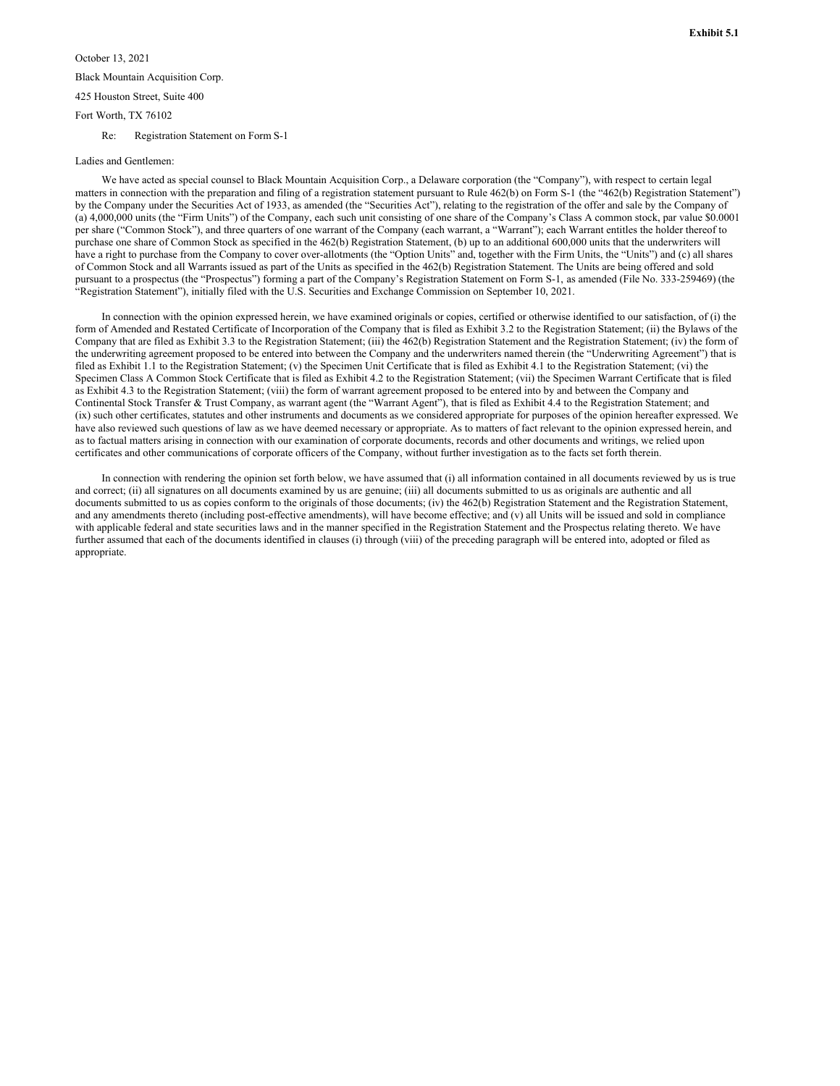# <span id="page-5-0"></span>October 13, 2021 Black Mountain Acquisition Corp. 425 Houston Street, Suite 400 Fort Worth, TX 76102

Re: Registration Statement on Form S-1

#### Ladies and Gentlemen:

We have acted as special counsel to Black Mountain Acquisition Corp., a Delaware corporation (the "Company"), with respect to certain legal matters in connection with the preparation and filing of a registration statement pursuant to Rule 462(b) on Form S-1 (the "462(b) Registration Statement") by the Company under the Securities Act of 1933, as amended (the "Securities Act"), relating to the registration of the offer and sale by the Company of (a) 4,000,000 units (the "Firm Units") of the Company, each such unit consisting of one share of the Company's Class A common stock, par value \$0.0001 per share ("Common Stock"), and three quarters of one warrant of the Company (each warrant, a "Warrant"); each Warrant entitles the holder thereof to purchase one share of Common Stock as specified in the 462(b) Registration Statement, (b) up to an additional 600,000 units that the underwriters will have a right to purchase from the Company to cover over-allotments (the "Option Units" and, together with the Firm Units, the "Units") and (c) all shares of Common Stock and all Warrants issued as part of the Units as specified in the 462(b) Registration Statement. The Units are being offered and sold pursuant to a prospectus (the "Prospectus") forming a part of the Company's Registration Statement on Form S-1, as amended (File No. 333-259469) (the "Registration Statement"), initially filed with the U.S. Securities and Exchange Commission on September 10, 2021.

In connection with the opinion expressed herein, we have examined originals or copies, certified or otherwise identified to our satisfaction, of (i) the form of Amended and Restated Certificate of Incorporation of the Company that is filed as Exhibit 3.2 to the Registration Statement; (ii) the Bylaws of the Company that are filed as Exhibit 3.3 to the Registration Statement; (iii) the 462(b) Registration Statement and the Registration Statement; (iv) the form of the underwriting agreement proposed to be entered into between the Company and the underwriters named therein (the "Underwriting Agreement") that is filed as Exhibit 1.1 to the Registration Statement; (v) the Specimen Unit Certificate that is filed as Exhibit 4.1 to the Registration Statement; (vi) the Specimen Class A Common Stock Certificate that is filed as Exhibit 4.2 to the Registration Statement; (vii) the Specimen Warrant Certificate that is filed as Exhibit 4.3 to the Registration Statement; (viii) the form of warrant agreement proposed to be entered into by and between the Company and Continental Stock Transfer & Trust Company, as warrant agent (the "Warrant Agent"), that is filed as Exhibit 4.4 to the Registration Statement; and (ix) such other certificates, statutes and other instruments and documents as we considered appropriate for purposes of the opinion hereafter expressed. We have also reviewed such questions of law as we have deemed necessary or appropriate. As to matters of fact relevant to the opinion expressed herein, and as to factual matters arising in connection with our examination of corporate documents, records and other documents and writings, we relied upon certificates and other communications of corporate officers of the Company, without further investigation as to the facts set forth therein.

In connection with rendering the opinion set forth below, we have assumed that (i) all information contained in all documents reviewed by us is true and correct; (ii) all signatures on all documents examined by us are genuine; (iii) all documents submitted to us as originals are authentic and all documents submitted to us as copies conform to the originals of those documents; (iv) the 462(b) Registration Statement and the Registration Statement, and any amendments thereto (including post-effective amendments), will have become effective; and (v) all Units will be issued and sold in compliance with applicable federal and state securities laws and in the manner specified in the Registration Statement and the Prospectus relating thereto. We have further assumed that each of the documents identified in clauses (i) through (viii) of the preceding paragraph will be entered into, adopted or filed as appropriate.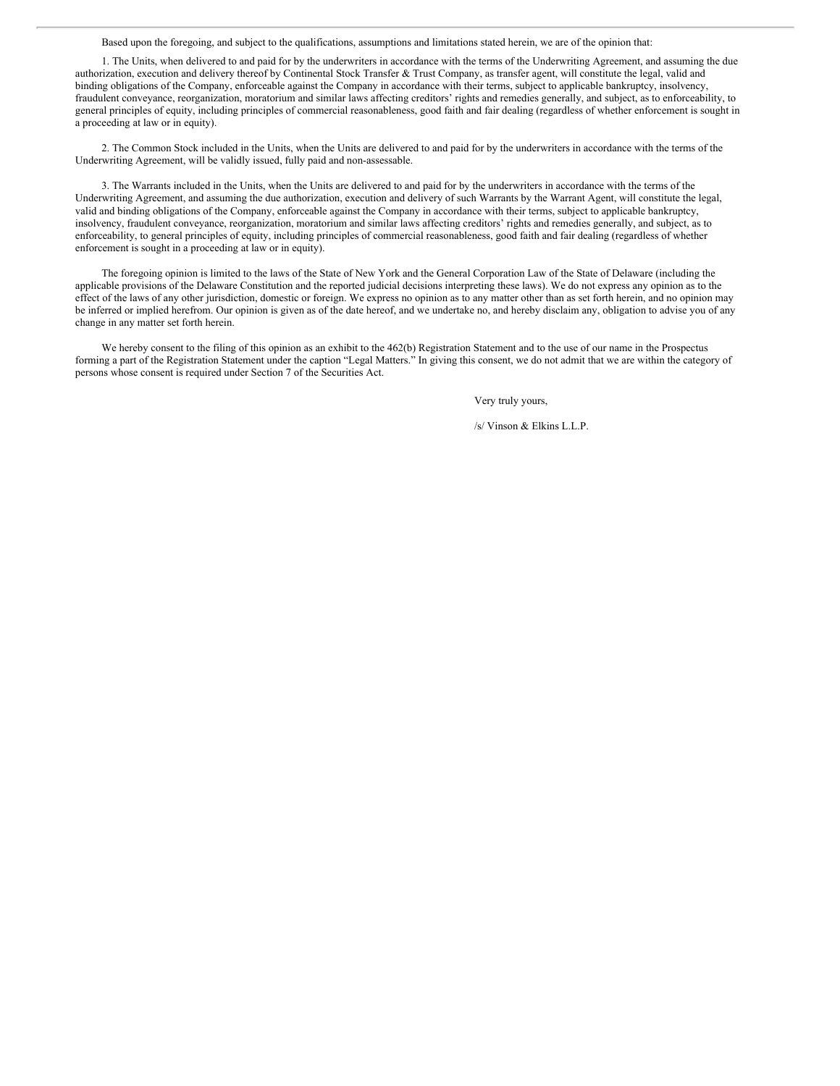Based upon the foregoing, and subject to the qualifications, assumptions and limitations stated herein, we are of the opinion that:

1. The Units, when delivered to and paid for by the underwriters in accordance with the terms of the Underwriting Agreement, and assuming the due authorization, execution and delivery thereof by Continental Stock Transfer & Trust Company, as transfer agent, will constitute the legal, valid and binding obligations of the Company, enforceable against the Company in accordance with their terms, subject to applicable bankruptcy, insolvency, fraudulent conveyance, reorganization, moratorium and similar laws affecting creditors' rights and remedies generally, and subject, as to enforceability, to general principles of equity, including principles of commercial reasonableness, good faith and fair dealing (regardless of whether enforcement is sought in a proceeding at law or in equity).

2. The Common Stock included in the Units, when the Units are delivered to and paid for by the underwriters in accordance with the terms of the Underwriting Agreement, will be validly issued, fully paid and non-assessable.

3. The Warrants included in the Units, when the Units are delivered to and paid for by the underwriters in accordance with the terms of the Underwriting Agreement, and assuming the due authorization, execution and delivery of such Warrants by the Warrant Agent, will constitute the legal, valid and binding obligations of the Company, enforceable against the Company in accordance with their terms, subject to applicable bankruptcy, insolvency, fraudulent conveyance, reorganization, moratorium and similar laws affecting creditors' rights and remedies generally, and subject, as to enforceability, to general principles of equity, including principles of commercial reasonableness, good faith and fair dealing (regardless of whether enforcement is sought in a proceeding at law or in equity).

The foregoing opinion is limited to the laws of the State of New York and the General Corporation Law of the State of Delaware (including the applicable provisions of the Delaware Constitution and the reported judicial decisions interpreting these laws). We do not express any opinion as to the effect of the laws of any other jurisdiction, domestic or foreign. We express no opinion as to any matter other than as set forth herein, and no opinion may be inferred or implied herefrom. Our opinion is given as of the date hereof, and we undertake no, and hereby disclaim any, obligation to advise you of any change in any matter set forth herein.

We hereby consent to the filing of this opinion as an exhibit to the 462(b) Registration Statement and to the use of our name in the Prospectus forming a part of the Registration Statement under the caption "Legal Matters." In giving this consent, we do not admit that we are within the category of persons whose consent is required under Section 7 of the Securities Act.

Very truly yours,

/s/ Vinson & Elkins L.L.P.